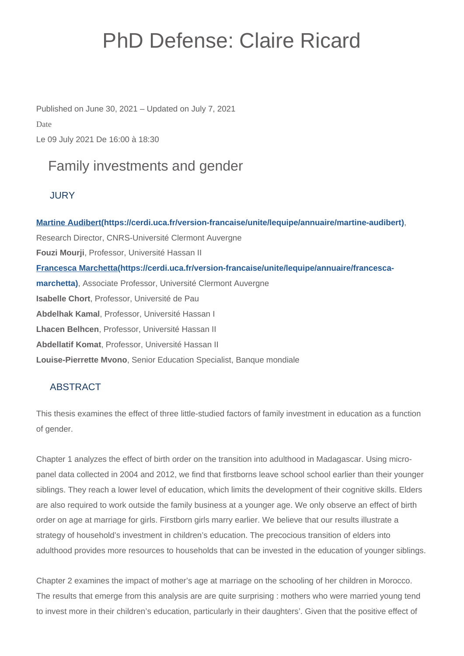# PhD Defense: Claire Ricard

Published on June 30, 2021 – Updated on July 7, 2021 Date Le 09 July 2021 De 16:00 à 18:30

# Family investments and gender

## **JURY**

**[Martine Audibert\(https://cerdi.uca.fr/version-francaise/unite/lequipe/annuaire/martine-audibert\)](https://cerdi.uca.fr/version-francaise/unite/lequipe/annuaire/martine-audibert)**, Research Director, CNRS-Université Clermont Auvergne **Fouzi Mourji**, Professor, Université Hassan II **[Francesca Marchetta\(https://cerdi.uca.fr/version-francaise/unite/lequipe/annuaire/francesca](https://cerdi.uca.fr/version-francaise/unite/lequipe/annuaire/francesca-marchetta)[marchetta\)](https://cerdi.uca.fr/version-francaise/unite/lequipe/annuaire/francesca-marchetta)**, Associate Professor, Université Clermont Auvergne **Isabelle Chort**, Professor, Université de Pau **Abdelhak Kamal**, Professor, Université Hassan I **Lhacen Belhcen**, Professor, Université Hassan II **Abdellatif Komat**, Professor, Université Hassan II **Louise-Pierrette Mvono**, Senior Education Specialist, Banque mondiale

# **ABSTRACT**

This thesis examines the effect of three little-studied factors of family investment in education as a function of gender.

Chapter 1 analyzes the effect of birth order on the transition into adulthood in Madagascar. Using micropanel data collected in 2004 and 2012, we find that firstborns leave school school earlier than their younger siblings. They reach a lower level of education, which limits the development of their cognitive skills. Elders are also required to work outside the family business at a younger age. We only observe an effect of birth order on age at marriage for girls. Firstborn girls marry earlier. We believe that our results illustrate a strategy of household's investment in children's education. The precocious transition of elders into adulthood provides more resources to households that can be invested in the education of younger siblings.

Chapter 2 examines the impact of mother's age at marriage on the schooling of her children in Morocco. The results that emerge from this analysis are are quite surprising : mothers who were married young tend to invest more in their children's education, particularly in their daughters'. Given that the positive effect of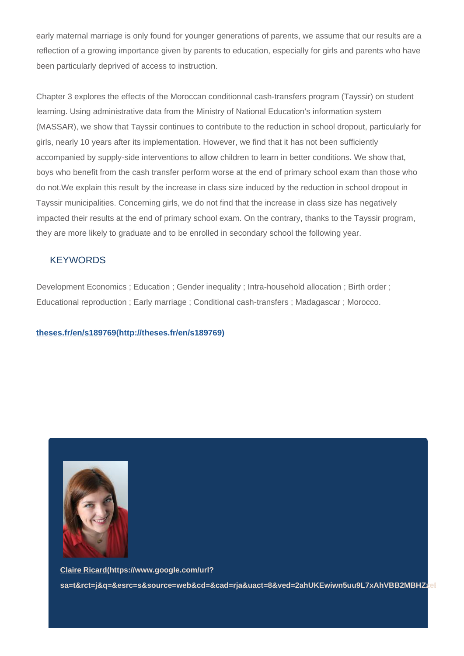early maternal marriage is only found for younger generations of parents, we assume that our results are a reflection of a growing importance given by parents to education, especially for girls and parents who have been particularly deprived of access to instruction.

Chapter 3 explores the effects of the Moroccan conditionnal cash-transfers program (Tayssir) on student learning. Using administrative data from the Ministry of National Education's information system (MASSAR), we show that Tayssir continues to contribute to the reduction in school dropout, particularly for girls, nearly 10 years after its implementation. However, we find that it has not been sufficiently accompanied by supply-side interventions to allow children to learn in better conditions. We show that, boys who benefit from the cash transfer perform worse at the end of primary school exam than those who do not.We explain this result by the increase in class size induced by the reduction in school dropout in Tayssir municipalities. Concerning girls, we do not find that the increase in class size has negatively impacted their results at the end of primary school exam. On the contrary, thanks to the Tayssir program, they are more likely to graduate and to be enrolled in secondary school the following year.

### **KEYWORDS**

Development Economics ; Education ; Gender inequality ; Intra-household allocation ; Birth order ; Educational reproduction ; Early marriage ; Conditional cash-transfers ; Madagascar ; Morocco.

#### **[theses.fr/en/s189769\(http://theses.fr/en/s189769\)](http://theses.fr/en/s189769)**



**[Claire Ricard\(https://www.google.com/url?](https://www.google.com/url?sa=t&rct=j&q=&esrc=s&source=web&cd=&cad=rja&uact=8&ved=2ahUKEwiwn5uu9L7xAhVBB2MBHZzeBRMQFjAAegQIBBAD&url=https%3A%2F%2Ffr.linkedin.com%2Fin%2Fclaire-ricard-a47baaa1&usg=AOvVaw1Wd0vlYkjsWsUC7l4DAXE3)** sa=t&rct=j&q=&esrc=s&source=web&cd=&cad=rja&uact=8&ved=2ahUKEwiwn5uu9L7xAhVBB2MBHZzel